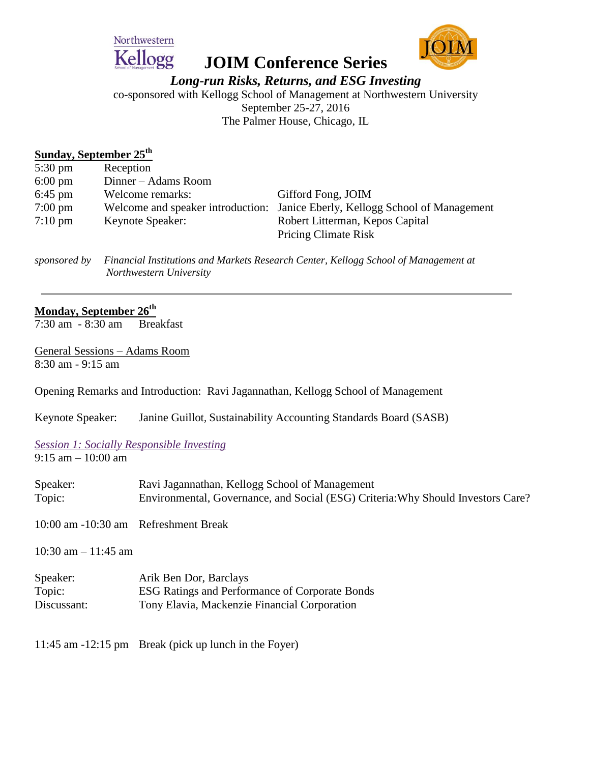

# **JOIM Conference Series**



*Long-run Risks, Returns, and ESG Investing*

co-sponsored with Kellogg School of Management at Northwestern University September 25-27, 2016

The Palmer House, Chicago, IL

## **Sunday, September 25th**

| $5:30 \text{ pm}$ | Reception           |                                                                               |
|-------------------|---------------------|-------------------------------------------------------------------------------|
| $6:00 \text{ pm}$ | Dinner – Adams Room |                                                                               |
| $6:45$ pm         | Welcome remarks:    | Gifford Fong, JOIM                                                            |
| $7:00 \text{ pm}$ |                     | Welcome and speaker introduction: Janice Eberly, Kellogg School of Management |
| $7:10 \text{ pm}$ | Keynote Speaker:    | Robert Litterman, Kepos Capital                                               |
|                   |                     | <b>Pricing Climate Risk</b>                                                   |

*sponsored by Financial Institutions and Markets Research Center, Kellogg School of Management at Northwestern University* 

# **Monday, September 26th**

7:30 am - 8:30 am Breakfast

General Sessions – Adams Room 8:30 am - 9:15 am

Opening Remarks and Introduction: Ravi Jagannathan, Kellogg School of Management

Keynote Speaker: Janine Guillot, Sustainability Accounting Standards Board (SASB)

#### *Session 1: Socially Responsible Investing* 9:15 am – 10:00 am

| Speaker:<br>Topic:                   | Ravi Jagannathan, Kellogg School of Management<br>Environmental, Governance, and Social (ESG) Criteria: Why Should Investors Care? |
|--------------------------------------|------------------------------------------------------------------------------------------------------------------------------------|
| 10:00 am -10:30 am Refreshment Break |                                                                                                                                    |
| 10:30 am $-$ 11:45 am                |                                                                                                                                    |
| Speaker:<br>Topic:<br>Discussant:    | Arik Ben Dor, Barclays<br>ESG Ratings and Performance of Corporate Bonds<br>Tony Elavia, Mackenzie Financial Corporation           |
|                                      | $11.45$ am $-12.15$ pm Rreak (pick up lunch in the Fover)                                                                          |

11:45 am  $-12:15$  pm Break (pick up lunch in the Foyer)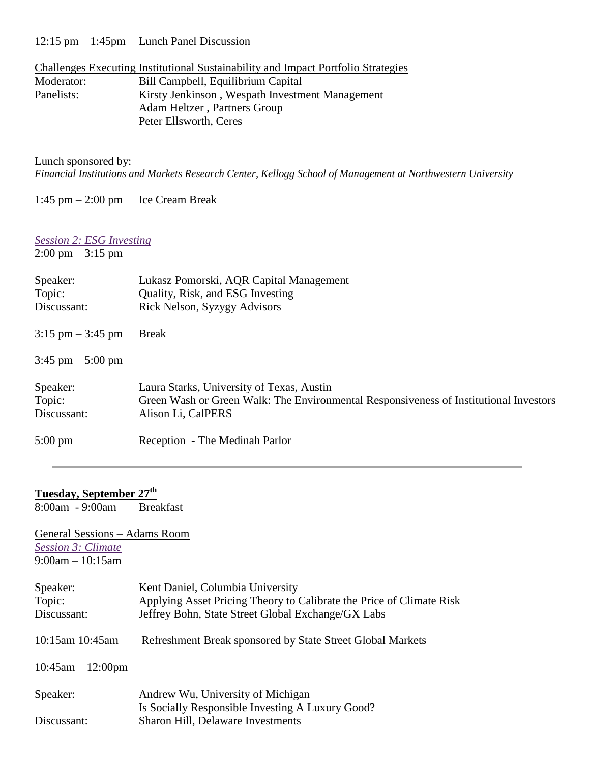12:15 pm – 1:45pm Lunch Panel Discussion

|            | Challenges Executing Institutional Sustainability and Impact Portfolio Strategies |
|------------|-----------------------------------------------------------------------------------|
| Moderator: | Bill Campbell, Equilibrium Capital                                                |
| Panelists: | Kirsty Jenkinson, Wespath Investment Management                                   |
|            | Adam Heltzer, Partners Group                                                      |
|            | Peter Ellsworth, Ceres                                                            |

Lunch sponsored by:

*Financial Institutions and Markets Research Center, Kellogg School of Management at Northwestern University* 

1:45 pm – 2:00 pm Ice Cream Break

### *Session 2: ESG Investing*

2:00 pm – 3:15 pm

| Speaker:<br>Topic:<br>Discussant:   | Lukasz Pomorski, AQR Capital Management<br>Quality, Risk, and ESG Investing<br>Rick Nelson, Syzygy Advisors                                              |
|-------------------------------------|----------------------------------------------------------------------------------------------------------------------------------------------------------|
| $3:15 \text{ pm} - 3:45 \text{ pm}$ | <b>Break</b>                                                                                                                                             |
| $3:45 \text{ pm} - 5:00 \text{ pm}$ |                                                                                                                                                          |
| Speaker:<br>Topic:<br>Discussant:   | Laura Starks, University of Texas, Austin<br>Green Wash or Green Walk: The Environmental Responsiveness of Institutional Investors<br>Alison Li, CalPERS |
| $5:00 \text{ pm}$                   | Reception - The Medinah Parlor                                                                                                                           |

# **Tuesday, September 27th**

8:00am - 9:00am Breakfast

General Sessions – Adams Room *Session 3: Climate*  $9:00am - 10:15am$ 

| Speaker:<br>Topic:<br>Discussant: | Kent Daniel, Columbia University<br>Applying Asset Pricing Theory to Calibrate the Price of Climate Risk<br>Jeffrey Bohn, State Street Global Exchange/GX Labs |
|-----------------------------------|----------------------------------------------------------------------------------------------------------------------------------------------------------------|
| 10:15am 10:45am                   | Refreshment Break sponsored by State Street Global Markets                                                                                                     |
| $10:45am - 12:00pm$               |                                                                                                                                                                |
| Speaker:                          | Andrew Wu, University of Michigan                                                                                                                              |
|                                   | Is Socially Responsible Investing A Luxury Good?                                                                                                               |
| Discussant:                       | <b>Sharon Hill, Delaware Investments</b>                                                                                                                       |